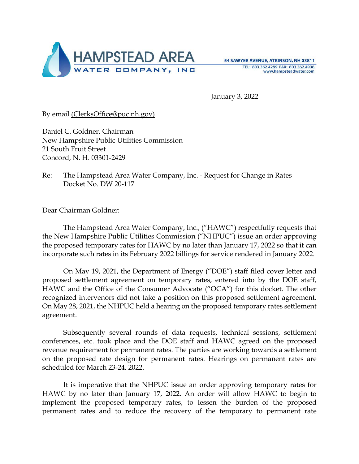

January 3, 2022

By email (ClerksOffice@puc.nh.gov)

Daniel C. Goldner, Chairman New Hampshire Public Utilities Commission 21 South Fruit Street Concord, N. H. 03301-2429

Re: The Hampstead Area Water Company, Inc. - Request for Change in Rates Docket No. DW 20-117

Dear Chairman Goldner:

The Hampstead Area Water Company, Inc., ("HAWC") respectfully requests that the New Hampshire Public Utilities Commission ("NHPUC") issue an order approving the proposed temporary rates for HAWC by no later than January 17, 2022 so that it can incorporate such rates in its February 2022 billings for service rendered in January 2022.

On May 19, 2021, the Department of Energy ("DOE") staff filed cover letter and proposed settlement agreement on temporary rates, entered into by the DOE staff, HAWC and the Office of the Consumer Advocate ("OCA") for this docket. The other recognized intervenors did not take a position on this proposed settlement agreement. On May 28, 2021, the NHPUC held a hearing on the proposed temporary rates settlement agreement.

Subsequently several rounds of data requests, technical sessions, settlement conferences, etc. took place and the DOE staff and HAWC agreed on the proposed revenue requirement for permanent rates. The parties are working towards a settlement on the proposed rate design for permanent rates. Hearings on permanent rates are scheduled for March 23-24, 2022.

 It is imperative that the NHPUC issue an order approving temporary rates for HAWC by no later than January 17, 2022. An order will allow HAWC to begin to implement the proposed temporary rates, to lessen the burden of the proposed permanent rates and to reduce the recovery of the temporary to permanent rate